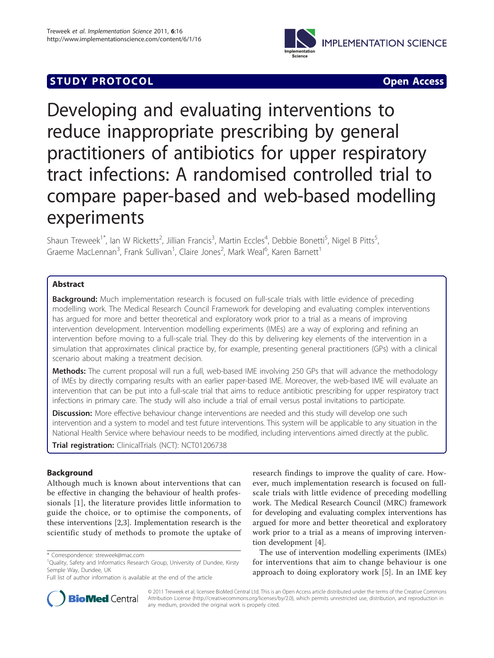# **STUDY PROTOCOL CONSUMING THE CONSUMING OPEN ACCESS**



Developing and evaluating interventions to reduce inappropriate prescribing by general practitioners of antibiotics for upper respiratory tract infections: A randomised controlled trial to compare paper-based and web-based modelling experiments

Shaun Treweek<sup>1\*</sup>, Ian W Ricketts<sup>2</sup>, Jillian Francis<sup>3</sup>, Martin Eccles<sup>4</sup>, Debbie Bonetti<sup>5</sup>, Nigel B Pitts<sup>5</sup> , Graeme MacLennan<sup>3</sup>, Frank Sullivan<sup>1</sup>, Claire Jones<sup>2</sup>, Mark Weal<sup>6</sup>, Karen Barnett<sup>1</sup>

## Abstract

**Background:** Much implementation research is focused on full-scale trials with little evidence of preceding modelling work. The Medical Research Council Framework for developing and evaluating complex interventions has argued for more and better theoretical and exploratory work prior to a trial as a means of improving intervention development. Intervention modelling experiments (IMEs) are a way of exploring and refining an intervention before moving to a full-scale trial. They do this by delivering key elements of the intervention in a simulation that approximates clinical practice by, for example, presenting general practitioners (GPs) with a clinical scenario about making a treatment decision.

Methods: The current proposal will run a full, web-based IME involving 250 GPs that will advance the methodology of IMEs by directly comparing results with an earlier paper-based IME. Moreover, the web-based IME will evaluate an intervention that can be put into a full-scale trial that aims to reduce antibiotic prescribing for upper respiratory tract infections in primary care. The study will also include a trial of email versus postal invitations to participate.

**Discussion:** More effective behaviour change interventions are needed and this study will develop one such intervention and a system to model and test future interventions. This system will be applicable to any situation in the National Health Service where behaviour needs to be modified, including interventions aimed directly at the public.

Trial registration: ClinicalTrials (NCT): [NCT01206738](http://www.clinicaltrials.gov/ct2/show/NCT01206738)

### Background

Although much is known about interventions that can be effective in changing the behaviour of health professionals [\[1](#page-6-0)], the literature provides little information to guide the choice, or to optimise the components, of these interventions [\[2,3](#page-6-0)]. Implementation research is the scientific study of methods to promote the uptake of research findings to improve the quality of care. However, much implementation research is focused on fullscale trials with little evidence of preceding modelling work. The Medical Research Council (MRC) framework for developing and evaluating complex interventions has argued for more and better theoretical and exploratory work prior to a trial as a means of improving intervention development [[4\]](#page-6-0).

The use of intervention modelling experiments (IMEs) for interventions that aim to change behaviour is one approach to doing exploratory work [[5\]](#page-6-0). In an IME key



© 2011 Treweek et al; licensee BioMed Central Ltd. This is an Open Access article distributed under the terms of the Creative Commons Attribution License [\(http://creativecommons.org/licenses/by/2.0](http://creativecommons.org/licenses/by/2.0)), which permits unrestricted use, distribution, and reproduction in any medium, provided the original work is properly cited.

<sup>\*</sup> Correspondence: [streweek@mac.com](mailto:streweek@mac.com)

<sup>&</sup>lt;sup>1</sup>Quality, Safety and Informatics Research Group, University of Dundee, Kirsty Semple Way, Dundee, UK

Full list of author information is available at the end of the article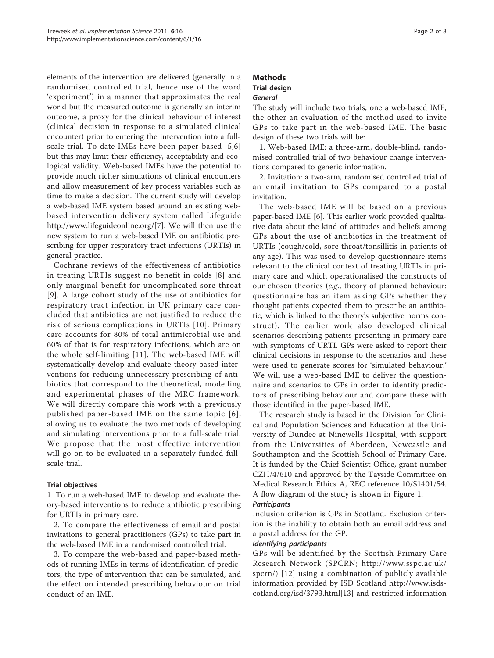elements of the intervention are delivered (generally in a randomised controlled trial, hence use of the word 'experiment') in a manner that approximates the real world but the measured outcome is generally an interim outcome, a proxy for the clinical behaviour of interest (clinical decision in response to a simulated clinical encounter) prior to entering the intervention into a fullscale trial. To date IMEs have been paper-based [[5,](#page-6-0)[6](#page-7-0)] but this may limit their efficiency, acceptability and ecological validity. Web-based IMEs have the potential to provide much richer simulations of clinical encounters and allow measurement of key process variables such as time to make a decision. The current study will develop a web-based IME system based around an existing webbased intervention delivery system called Lifeguide <http://www.lifeguideonline.org/>[\[7](#page-7-0)]. We will then use the new system to run a web-based IME on antibiotic prescribing for upper respiratory tract infections (URTIs) in general practice.

Cochrane reviews of the effectiveness of antibiotics in treating URTIs suggest no benefit in colds [[8\]](#page-7-0) and only marginal benefit for uncomplicated sore throat [[9](#page-7-0)]. A large cohort study of the use of antibiotics for respiratory tract infection in UK primary care concluded that antibiotics are not justified to reduce the risk of serious complications in URTIs [[10\]](#page-7-0). Primary care accounts for 80% of total antimicrobial use and 60% of that is for respiratory infections, which are on the whole self-limiting [[11](#page-7-0)]. The web-based IME will systematically develop and evaluate theory-based interventions for reducing unnecessary prescribing of antibiotics that correspond to the theoretical, modelling and experimental phases of the MRC framework. We will directly compare this work with a previously published paper-based IME on the same topic [[6\]](#page-7-0), allowing us to evaluate the two methods of developing and simulating interventions prior to a full-scale trial. We propose that the most effective intervention will go on to be evaluated in a separately funded fullscale trial.

### Trial objectives

1. To run a web-based IME to develop and evaluate theory-based interventions to reduce antibiotic prescribing for URTIs in primary care.

2. To compare the effectiveness of email and postal invitations to general practitioners (GPs) to take part in the web-based IME in a randomised controlled trial.

3. To compare the web-based and paper-based methods of running IMEs in terms of identification of predictors, the type of intervention that can be simulated, and the effect on intended prescribing behaviour on trial conduct of an IME.

# Methods

# Trial design

## General

The study will include two trials, one a web-based IME, the other an evaluation of the method used to invite GPs to take part in the web-based IME. The basic design of these two trials will be:

1. Web-based IME: a three-arm, double-blind, randomised controlled trial of two behaviour change interventions compared to generic information.

2. Invitation: a two-arm, randomised controlled trial of an email invitation to GPs compared to a postal invitation.

The web-based IME will be based on a previous paper-based IME [\[6](#page-7-0)]. This earlier work provided qualitative data about the kind of attitudes and beliefs among GPs about the use of antibiotics in the treatment of URTIs (cough/cold, sore throat/tonsillitis in patients of any age). This was used to develop questionnaire items relevant to the clinical context of treating URTIs in primary care and which operationalised the constructs of our chosen theories (e.g., theory of planned behaviour: questionnaire has an item asking GPs whether they thought patients expected them to prescribe an antibiotic, which is linked to the theory's subjective norms construct). The earlier work also developed clinical scenarios describing patients presenting in primary care with symptoms of URTI. GPs were asked to report their clinical decisions in response to the scenarios and these were used to generate scores for 'simulated behaviour.' We will use a web-based IME to deliver the questionnaire and scenarios to GPs in order to identify predictors of prescribing behaviour and compare these with those identified in the paper-based IME.

The research study is based in the Division for Clinical and Population Sciences and Education at the University of Dundee at Ninewells Hospital, with support from the Universities of Aberdeen, Newcastle and Southampton and the Scottish School of Primary Care. It is funded by the Chief Scientist Office, grant number CZH/4/610 and approved by the Tayside Committee on Medical Research Ethics A, REC reference 10/S1401/54. A flow diagram of the study is shown in Figure [1.](#page-2-0)

### **Participants**

Inclusion criterion is GPs in Scotland. Exclusion criterion is the inability to obtain both an email address and a postal address for the GP.

### Identifying participants

GPs will be identified by the Scottish Primary Care Research Network (SPCRN; [http://www.sspc.ac.uk/](http://www.sspc.ac.uk/spcrn/) [spcrn/](http://www.sspc.ac.uk/spcrn/)) [[12\]](#page-7-0) using a combination of publicly available information provided by ISD Scotland [http://www.isds](http://www.isdscotland.org/isd/3793.html)[cotland.org/isd/3793.html](http://www.isdscotland.org/isd/3793.html)[[13](#page-7-0)] and restricted information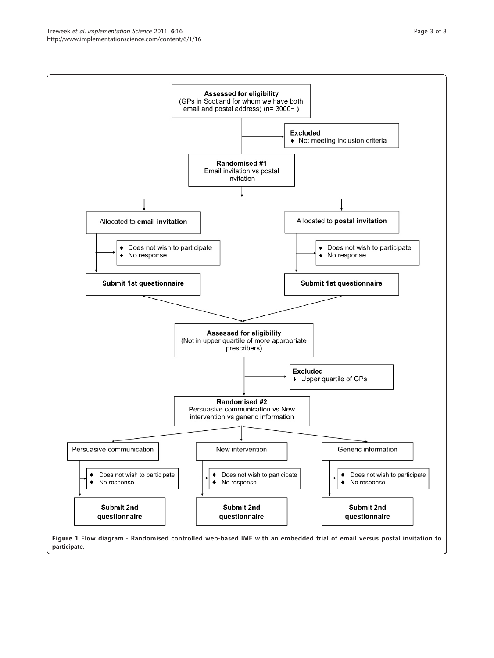<span id="page-2-0"></span>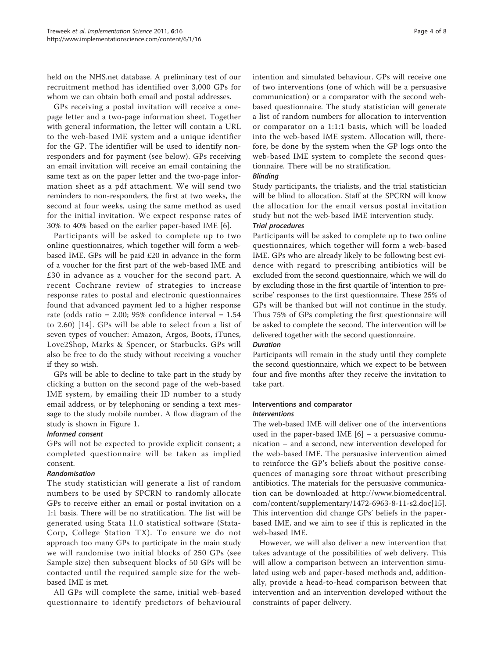held on the NHS.net database. A preliminary test of our recruitment method has identified over 3,000 GPs for whom we can obtain both email and postal addresses.

GPs receiving a postal invitation will receive a onepage letter and a two-page information sheet. Together with general information, the letter will contain a URL to the web-based IME system and a unique identifier for the GP. The identifier will be used to identify nonresponders and for payment (see below). GPs receiving an email invitation will receive an email containing the same text as on the paper letter and the two-page information sheet as a pdf attachment. We will send two reminders to non-responders, the first at two weeks, the second at four weeks, using the same method as used for the initial invitation. We expect response rates of 30% to 40% based on the earlier paper-based IME [[6\]](#page-7-0).

Participants will be asked to complete up to two online questionnaires, which together will form a webbased IME. GPs will be paid £20 in advance in the form of a voucher for the first part of the web-based IME and £30 in advance as a voucher for the second part. A recent Cochrane review of strategies to increase response rates to postal and electronic questionnaires found that advanced payment led to a higher response rate (odds ratio =  $2.00$ ;  $95\%$  confidence interval =  $1.54$ to 2.60) [[14\]](#page-7-0). GPs will be able to select from a list of seven types of voucher: Amazon, Argos, Boots, iTunes, Love2Shop, Marks & Spencer, or Starbucks. GPs will also be free to do the study without receiving a voucher if they so wish.

GPs will be able to decline to take part in the study by clicking a button on the second page of the web-based IME system, by emailing their ID number to a study email address, or by telephoning or sending a text message to the study mobile number. A flow diagram of the study is shown in Figure [1.](#page-2-0)

### Informed consent

GPs will not be expected to provide explicit consent; a completed questionnaire will be taken as implied consent.

#### Randomisation

The study statistician will generate a list of random numbers to be used by SPCRN to randomly allocate GPs to receive either an email or postal invitation on a 1:1 basis. There will be no stratification. The list will be generated using Stata 11.0 statistical software (Stata-Corp, College Station TX). To ensure we do not approach too many GPs to participate in the main study we will randomise two initial blocks of 250 GPs (see Sample size) then subsequent blocks of 50 GPs will be contacted until the required sample size for the webbased IME is met.

All GPs will complete the same, initial web-based questionnaire to identify predictors of behavioural intention and simulated behaviour. GPs will receive one of two interventions (one of which will be a persuasive communication) or a comparator with the second webbased questionnaire. The study statistician will generate a list of random numbers for allocation to intervention or comparator on a 1:1:1 basis, which will be loaded into the web-based IME system. Allocation will, therefore, be done by the system when the GP logs onto the web-based IME system to complete the second questionnaire. There will be no stratification.

#### Blinding

Study participants, the trialists, and the trial statistician will be blind to allocation. Staff at the SPCRN will know the allocation for the email versus postal invitation study but not the web-based IME intervention study.

### Trial procedures

Participants will be asked to complete up to two online questionnaires, which together will form a web-based IME. GPs who are already likely to be following best evidence with regard to prescribing antibiotics will be excluded from the second questionnaire, which we will do by excluding those in the first quartile of 'intention to prescribe' responses to the first questionnaire. These 25% of GPs will be thanked but will not continue in the study. Thus 75% of GPs completing the first questionnaire will be asked to complete the second. The intervention will be delivered together with the second questionnaire. Duration

Participants will remain in the study until they complete the second questionnaire, which we expect to be between four and five months after they receive the invitation to take part.

### Interventions and comparator Interventions

The web-based IME will deliver one of the interventions used in the paper-based IME  $[6]$  $[6]$  – a persuasive communication – and a second, new intervention developed for the web-based IME. The persuasive intervention aimed to reinforce the GP's beliefs about the positive consequences of managing sore throat without prescribing antibiotics. The materials for the persuasive communication can be downloaded at [http://www.biomedcentral.](http://www.biomedcentral.com/content/supplementary/1472-6963-8-11-s2.doc) [com/content/supplementary/1472-6963-8-11-s2.doc](http://www.biomedcentral.com/content/supplementary/1472-6963-8-11-s2.doc)[\[15](#page-7-0)]. This intervention did change GPs' beliefs in the paperbased IME, and we aim to see if this is replicated in the web-based IME.

However, we will also deliver a new intervention that takes advantage of the possibilities of web delivery. This will allow a comparison between an intervention simulated using web and paper-based methods and, additionally, provide a head-to-head comparison between that intervention and an intervention developed without the constraints of paper delivery.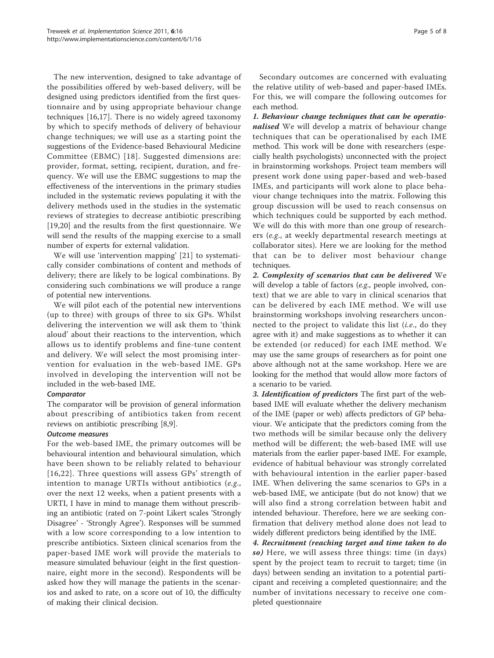The new intervention, designed to take advantage of the possibilities offered by web-based delivery, will be designed using predictors identified from the first questionnaire and by using appropriate behaviour change techniques [[16](#page-7-0),[17\]](#page-7-0). There is no widely agreed taxonomy by which to specify methods of delivery of behaviour change techniques; we will use as a starting point the suggestions of the Evidence-based Behavioural Medicine Committee (EBMC) [[18](#page-7-0)]. Suggested dimensions are: provider, format, setting, recipient, duration, and frequency. We will use the EBMC suggestions to map the effectiveness of the interventions in the primary studies included in the systematic reviews populating it with the delivery methods used in the studies in the systematic reviews of strategies to decrease antibiotic prescribing [[19,20](#page-7-0)] and the results from the first questionnaire. We will send the results of the mapping exercise to a small number of experts for external validation.

We will use 'intervention mapping' [[21\]](#page-7-0) to systematically consider combinations of content and methods of delivery; there are likely to be logical combinations. By considering such combinations we will produce a range of potential new interventions.

We will pilot each of the potential new interventions (up to three) with groups of three to six GPs. Whilst delivering the intervention we will ask them to 'think aloud' about their reactions to the intervention, which allows us to identify problems and fine-tune content and delivery. We will select the most promising intervention for evaluation in the web-based IME. GPs involved in developing the intervention will not be included in the web-based IME.

### Comparator

The comparator will be provision of general information about prescribing of antibiotics taken from recent reviews on antibiotic prescribing [[8,9\]](#page-7-0).

### Outcome measures

For the web-based IME, the primary outcomes will be behavioural intention and behavioural simulation, which have been shown to be reliably related to behaviour [[16,22\]](#page-7-0). Three questions will assess GPs' strength of intention to manage URTIs without antibiotics (e.g., over the next 12 weeks, when a patient presents with a URTI, I have in mind to manage them without prescribing an antibiotic (rated on 7-point Likert scales 'Strongly Disagree' - 'Strongly Agree'). Responses will be summed with a low score corresponding to a low intention to prescribe antibiotics. Sixteen clinical scenarios from the paper-based IME work will provide the materials to measure simulated behaviour (eight in the first questionnaire, eight more in the second). Respondents will be asked how they will manage the patients in the scenarios and asked to rate, on a score out of 10, the difficulty of making their clinical decision.

Secondary outcomes are concerned with evaluating the relative utility of web-based and paper-based IMEs. For this, we will compare the following outcomes for each method.

1. Behaviour change techniques that can be operationalised We will develop a matrix of behaviour change techniques that can be operationalised by each IME method. This work will be done with researchers (especially health psychologists) unconnected with the project in brainstorming workshops. Project team members will present work done using paper-based and web-based IMEs, and participants will work alone to place behaviour change techniques into the matrix. Following this group discussion will be used to reach consensus on which techniques could be supported by each method. We will do this with more than one group of researchers (e.g., at weekly departmental research meetings at collaborator sites). Here we are looking for the method that can be to deliver most behaviour change techniques.

2. Complexity of scenarios that can be delivered We will develop a table of factors (e.g., people involved, context) that we are able to vary in clinical scenarios that can be delivered by each IME method. We will use brainstorming workshops involving researchers unconnected to the project to validate this list  $(i.e., do they)$ agree with it) and make suggestions as to whether it can be extended (or reduced) for each IME method. We may use the same groups of researchers as for point one above although not at the same workshop. Here we are looking for the method that would allow more factors of a scenario to be varied.

3. Identification of predictors The first part of the webbased IME will evaluate whether the delivery mechanism of the IME (paper or web) affects predictors of GP behaviour. We anticipate that the predictors coming from the two methods will be similar because only the delivery method will be different; the web-based IME will use materials from the earlier paper-based IME. For example, evidence of habitual behaviour was strongly correlated with behavioural intention in the earlier paper-based IME. When delivering the same scenarios to GPs in a web-based IME, we anticipate (but do not know) that we will also find a strong correlation between habit and intended behaviour. Therefore, here we are seeking confirmation that delivery method alone does not lead to widely different predictors being identified by the IME.

4. Recruitment (reaching target and time taken to do so) Here, we will assess three things: time (in days) spent by the project team to recruit to target; time (in days) between sending an invitation to a potential participant and receiving a completed questionnaire; and the number of invitations necessary to receive one completed questionnaire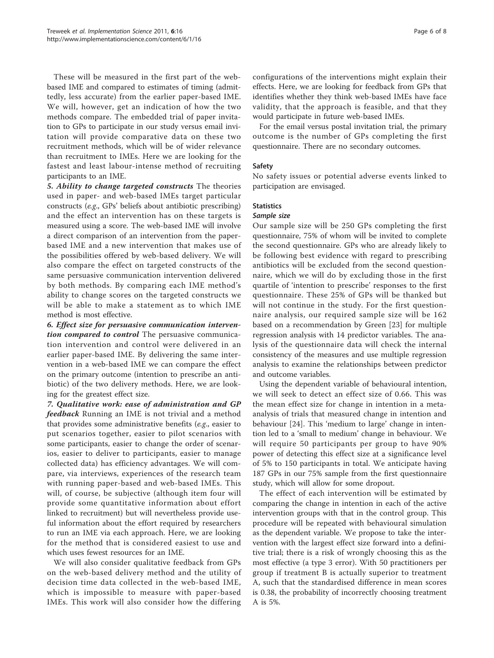These will be measured in the first part of the webbased IME and compared to estimates of timing (admittedly, less accurate) from the earlier paper-based IME. We will, however, get an indication of how the two methods compare. The embedded trial of paper invitation to GPs to participate in our study versus email invitation will provide comparative data on these two recruitment methods, which will be of wider relevance than recruitment to IMEs. Here we are looking for the fastest and least labour-intense method of recruiting participants to an IME.

5. Ability to change targeted constructs The theories used in paper- and web-based IMEs target particular constructs (e.g., GPs' beliefs about antibiotic prescribing) and the effect an intervention has on these targets is measured using a score. The web-based IME will involve a direct comparison of an intervention from the paperbased IME and a new intervention that makes use of the possibilities offered by web-based delivery. We will also compare the effect on targeted constructs of the same persuasive communication intervention delivered by both methods. By comparing each IME method's ability to change scores on the targeted constructs we will be able to make a statement as to which IME method is most effective.

6. Effect size for persuasive communication intervention compared to control The persuasive communication intervention and control were delivered in an earlier paper-based IME. By delivering the same intervention in a web-based IME we can compare the effect on the primary outcome (intention to prescribe an antibiotic) of the two delivery methods. Here, we are looking for the greatest effect size.

7. Qualitative work: ease of administration and GP feedback Running an IME is not trivial and a method that provides some administrative benefits (e.g., easier to put scenarios together, easier to pilot scenarios with some participants, easier to change the order of scenarios, easier to deliver to participants, easier to manage collected data) has efficiency advantages. We will compare, via interviews, experiences of the research team with running paper-based and web-based IMEs. This will, of course, be subjective (although item four will provide some quantitative information about effort linked to recruitment) but will nevertheless provide useful information about the effort required by researchers to run an IME via each approach. Here, we are looking for the method that is considered easiest to use and which uses fewest resources for an IME.

We will also consider qualitative feedback from GPs on the web-based delivery method and the utility of decision time data collected in the web-based IME, which is impossible to measure with paper-based IMEs. This work will also consider how the differing configurations of the interventions might explain their effects. Here, we are looking for feedback from GPs that identifies whether they think web-based IMEs have face validity, that the approach is feasible, and that they would participate in future web-based IMEs.

For the email versus postal invitation trial, the primary outcome is the number of GPs completing the first questionnaire. There are no secondary outcomes.

#### Safety

No safety issues or potential adverse events linked to participation are envisaged.

### **Statistics**

#### Sample size

Our sample size will be 250 GPs completing the first questionnaire, 75% of whom will be invited to complete the second questionnaire. GPs who are already likely to be following best evidence with regard to prescribing antibiotics will be excluded from the second questionnaire, which we will do by excluding those in the first quartile of 'intention to prescribe' responses to the first questionnaire. These 25% of GPs will be thanked but will not continue in the study. For the first questionnaire analysis, our required sample size will be 162 based on a recommendation by Green [\[23](#page-7-0)] for multiple regression analysis with 14 predictor variables. The analysis of the questionnaire data will check the internal consistency of the measures and use multiple regression analysis to examine the relationships between predictor and outcome variables.

Using the dependent variable of behavioural intention, we will seek to detect an effect size of 0.66. This was the mean effect size for change in intention in a metaanalysis of trials that measured change in intention and behaviour [\[24](#page-7-0)]. This 'medium to large' change in intention led to a 'small to medium' change in behaviour. We will require 50 participants per group to have 90% power of detecting this effect size at a significance level of 5% to 150 participants in total. We anticipate having 187 GPs in our 75% sample from the first questionnaire study, which will allow for some dropout.

The effect of each intervention will be estimated by comparing the change in intention in each of the active intervention groups with that in the control group. This procedure will be repeated with behavioural simulation as the dependent variable. We propose to take the intervention with the largest effect size forward into a definitive trial; there is a risk of wrongly choosing this as the most effective (a type 3 error). With 50 practitioners per group if treatment B is actually superior to treatment A, such that the standardised difference in mean scores is 0.38, the probability of incorrectly choosing treatment A is 5%.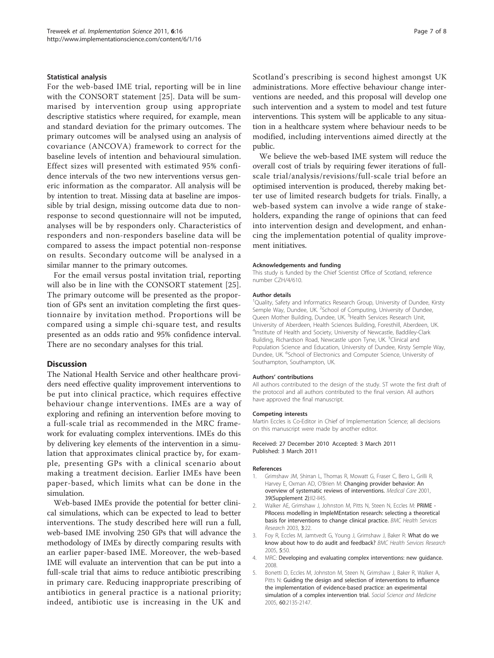#### <span id="page-6-0"></span>Statistical analysis

For the web-based IME trial, reporting will be in line with the CONSORT statement [[25](#page-7-0)]. Data will be summarised by intervention group using appropriate descriptive statistics where required, for example, mean and standard deviation for the primary outcomes. The primary outcomes will be analysed using an analysis of covariance (ANCOVA) framework to correct for the baseline levels of intention and behavioural simulation. Effect sizes will presented with estimated 95% confidence intervals of the two new interventions versus generic information as the comparator. All analysis will be by intention to treat. Missing data at baseline are impossible by trial design, missing outcome data due to nonresponse to second questionnaire will not be imputed, analyses will be by responders only. Characteristics of responders and non-responders baseline data will be compared to assess the impact potential non-response on results. Secondary outcome will be analysed in a similar manner to the primary outcomes.

For the email versus postal invitation trial, reporting will also be in line with the CONSORT statement [[25](#page-7-0)]. The primary outcome will be presented as the proportion of GPs sent an invitation completing the first questionnaire by invitation method. Proportions will be compared using a simple chi-square test, and results presented as an odds ratio and 95% confidence interval. There are no secondary analyses for this trial.

#### **Discussion**

The National Health Service and other healthcare providers need effective quality improvement interventions to be put into clinical practice, which requires effective behaviour change interventions. IMEs are a way of exploring and refining an intervention before moving to a full-scale trial as recommended in the MRC framework for evaluating complex interventions. IMEs do this by delivering key elements of the intervention in a simulation that approximates clinical practice by, for example, presenting GPs with a clinical scenario about making a treatment decision. Earlier IMEs have been paper-based, which limits what can be done in the simulation.

Web-based IMEs provide the potential for better clinical simulations, which can be expected to lead to better interventions. The study described here will run a full, web-based IME involving 250 GPs that will advance the methodology of IMEs by directly comparing results with an earlier paper-based IME. Moreover, the web-based IME will evaluate an intervention that can be put into a full-scale trial that aims to reduce antibiotic prescribing in primary care. Reducing inappropriate prescribing of antibiotics in general practice is a national priority; indeed, antibiotic use is increasing in the UK and

Scotland's prescribing is second highest amongst UK administrations. More effective behaviour change interventions are needed, and this proposal will develop one such intervention and a system to model and test future interventions. This system will be applicable to any situation in a healthcare system where behaviour needs to be modified, including interventions aimed directly at the public.

We believe the web-based IME system will reduce the overall cost of trials by requiring fewer iterations of fullscale trial/analysis/revisions/full-scale trial before an optimised intervention is produced, thereby making better use of limited research budgets for trials. Finally, a web-based system can involve a wide range of stakeholders, expanding the range of opinions that can feed into intervention design and development, and enhancing the implementation potential of quality improvement initiatives.

#### Acknowledgements and funding

This study is funded by the Chief Scientist Office of Scotland, reference number CZH/4/610.

#### Author details

<sup>1</sup>Quality, Safety and Informatics Research Group, University of Dundee, Kirsty Semple Way, Dundee, UK. <sup>2</sup>School of Computing, University of Dundee, Queen Mother Building, Dundee, UK. <sup>3</sup>Health Services Research Unit University of Aberdeen, Health Sciences Building, Foresthill, Aberdeen, UK. 4 Institute of Health and Society, University of Newcastle, Baddiley-Clark Building, Richardson Road, Newcastle upon Tyne, UK. <sup>5</sup>Clinical and Population Science and Education, University of Dundee, Kirsty Semple Way, Dundee, UK. <sup>6</sup>School of Electronics and Computer Science, University of Southampton, Southampton, UK.

#### Authors' contributions

All authors contributed to the design of the study. ST wrote the first draft of the protocol and all authors contributed to the final version. All authors have approved the final manuscript.

#### Competing interests

Martin Eccles is Co-Editor in Chief of Implementation Science; all decisions on this manuscript were made by another editor.

Received: 27 December 2010 Accepted: 3 March 2011 Published: 3 March 2011

#### References

- 1. Grimshaw JM, Shirran L, Thomas R, Mowatt G, Fraser C, Bero L, Grilli R, Harvey E, Oxman AD, O'Brien M: [Changing provider behavior: An](http://www.ncbi.nlm.nih.gov/pubmed/11583120?dopt=Abstract) [overview of systematic reviews of interventions.](http://www.ncbi.nlm.nih.gov/pubmed/11583120?dopt=Abstract) Medical Care 2001, 39(Supplement 2):II2-II45.
- 2. Walker AE, Grimshaw J, Johnston M, Pitts N, Steen N, Eccles M: [PRIME -](http://www.ncbi.nlm.nih.gov/pubmed/14683530?dopt=Abstract) [PRocess modelling in ImpleMEntation research: selecting a theoretical](http://www.ncbi.nlm.nih.gov/pubmed/14683530?dopt=Abstract) [basis for interventions to change clinical practice.](http://www.ncbi.nlm.nih.gov/pubmed/14683530?dopt=Abstract) BMC Health Services Research 2003, 3:22.
- 3. Foy R, Eccles M, Jamtvedt G, Young J, Grimshaw J, Baker R: [What do we](http://www.ncbi.nlm.nih.gov/pubmed/16011811?dopt=Abstract) [know about how to do audit and feedback?](http://www.ncbi.nlm.nih.gov/pubmed/16011811?dopt=Abstract) BMC Health Services Research 2005, 5:50.
- 4. MRC: Developing and evaluating complex interventions: new guidance. 2008.
- 5. Bonetti D, Eccles M, Johnston M, Steen N, Grimshaw J, Baker R, Walker A, Pitts N: [Guiding the design and selection of interventions to influence](http://www.ncbi.nlm.nih.gov/pubmed/15743661?dopt=Abstract) [the implementation of evidence-based practice: an experimental](http://www.ncbi.nlm.nih.gov/pubmed/15743661?dopt=Abstract) [simulation of a complex intervention trial.](http://www.ncbi.nlm.nih.gov/pubmed/15743661?dopt=Abstract) Social Science and Medicine 2005, 60:2135-2147.